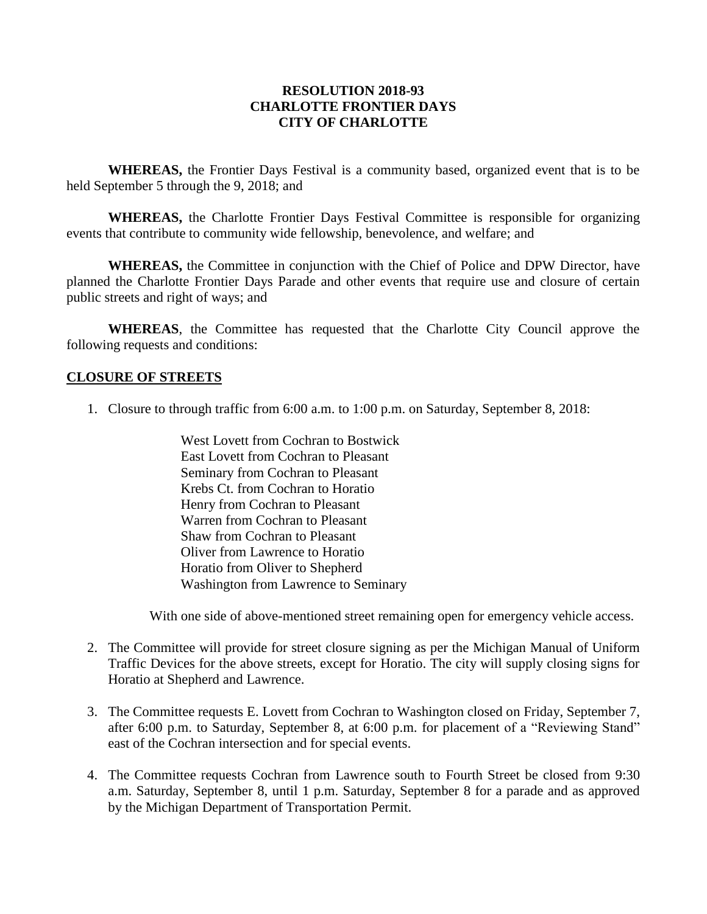## **RESOLUTION 2018-93 CHARLOTTE FRONTIER DAYS CITY OF CHARLOTTE**

**WHEREAS,** the Frontier Days Festival is a community based, organized event that is to be held September 5 through the 9, 2018; and

**WHEREAS,** the Charlotte Frontier Days Festival Committee is responsible for organizing events that contribute to community wide fellowship, benevolence, and welfare; and

**WHEREAS,** the Committee in conjunction with the Chief of Police and DPW Director, have planned the Charlotte Frontier Days Parade and other events that require use and closure of certain public streets and right of ways; and

**WHEREAS**, the Committee has requested that the Charlotte City Council approve the following requests and conditions:

## **CLOSURE OF STREETS**

1. Closure to through traffic from 6:00 a.m. to 1:00 p.m. on Saturday, September 8, 2018:

West Lovett from Cochran to Bostwick East Lovett from Cochran to Pleasant Seminary from Cochran to Pleasant Krebs Ct. from Cochran to Horatio Henry from Cochran to Pleasant Warren from Cochran to Pleasant Shaw from Cochran to Pleasant Oliver from Lawrence to Horatio Horatio from Oliver to Shepherd Washington from Lawrence to Seminary

With one side of above-mentioned street remaining open for emergency vehicle access.

- 2. The Committee will provide for street closure signing as per the Michigan Manual of Uniform Traffic Devices for the above streets, except for Horatio. The city will supply closing signs for Horatio at Shepherd and Lawrence.
- 3. The Committee requests E. Lovett from Cochran to Washington closed on Friday, September 7, after 6:00 p.m. to Saturday, September 8, at 6:00 p.m. for placement of a "Reviewing Stand" east of the Cochran intersection and for special events.
- 4. The Committee requests Cochran from Lawrence south to Fourth Street be closed from 9:30 a.m. Saturday, September 8, until 1 p.m. Saturday, September 8 for a parade and as approved by the Michigan Department of Transportation Permit.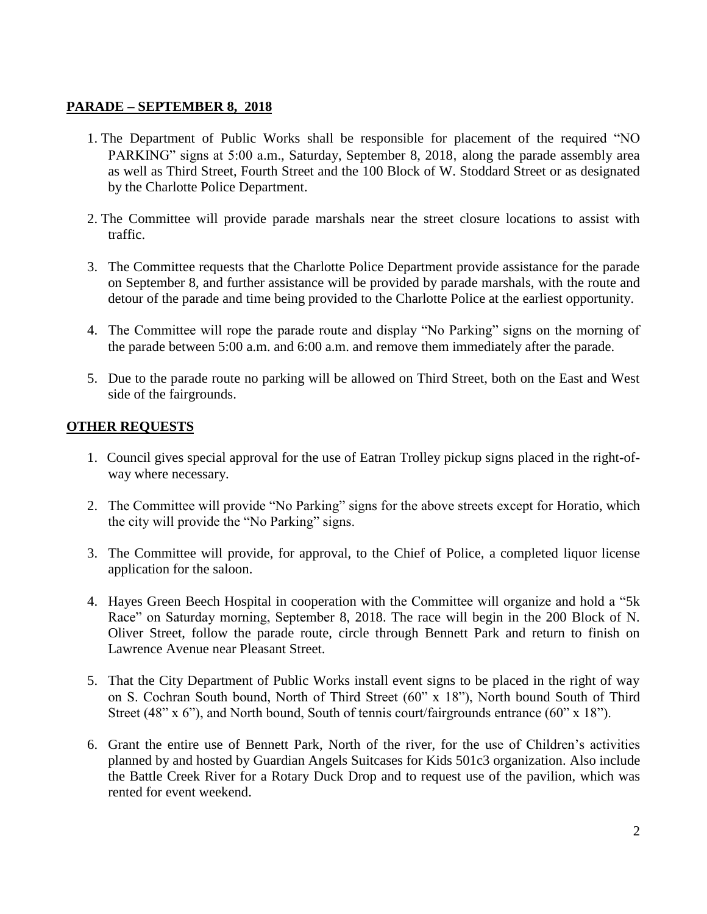## **PARADE – SEPTEMBER 8, 2018**

- 1. The Department of Public Works shall be responsible for placement of the required "NO PARKING" signs at 5:00 a.m., Saturday, September 8, 2018, along the parade assembly area as well as Third Street, Fourth Street and the 100 Block of W. Stoddard Street or as designated by the Charlotte Police Department.
- 2. The Committee will provide parade marshals near the street closure locations to assist with traffic.
- 3. The Committee requests that the Charlotte Police Department provide assistance for the parade on September 8, and further assistance will be provided by parade marshals, with the route and detour of the parade and time being provided to the Charlotte Police at the earliest opportunity.
- 4. The Committee will rope the parade route and display "No Parking" signs on the morning of the parade between 5:00 a.m. and 6:00 a.m. and remove them immediately after the parade.
- 5. Due to the parade route no parking will be allowed on Third Street, both on the East and West side of the fairgrounds.

## **OTHER REQUESTS**

- 1. Council gives special approval for the use of Eatran Trolley pickup signs placed in the right-ofway where necessary.
- 2. The Committee will provide "No Parking" signs for the above streets except for Horatio, which the city will provide the "No Parking" signs.
- 3. The Committee will provide, for approval, to the Chief of Police, a completed liquor license application for the saloon.
- 4. Hayes Green Beech Hospital in cooperation with the Committee will organize and hold a "5k Race" on Saturday morning, September 8, 2018. The race will begin in the 200 Block of N. Oliver Street, follow the parade route, circle through Bennett Park and return to finish on Lawrence Avenue near Pleasant Street.
- 5. That the City Department of Public Works install event signs to be placed in the right of way on S. Cochran South bound, North of Third Street (60" x 18"), North bound South of Third Street (48" x 6"), and North bound, South of tennis court/fairgrounds entrance (60" x 18").
- 6. Grant the entire use of Bennett Park, North of the river, for the use of Children's activities planned by and hosted by Guardian Angels Suitcases for Kids 501c3 organization. Also include the Battle Creek River for a Rotary Duck Drop and to request use of the pavilion, which was rented for event weekend.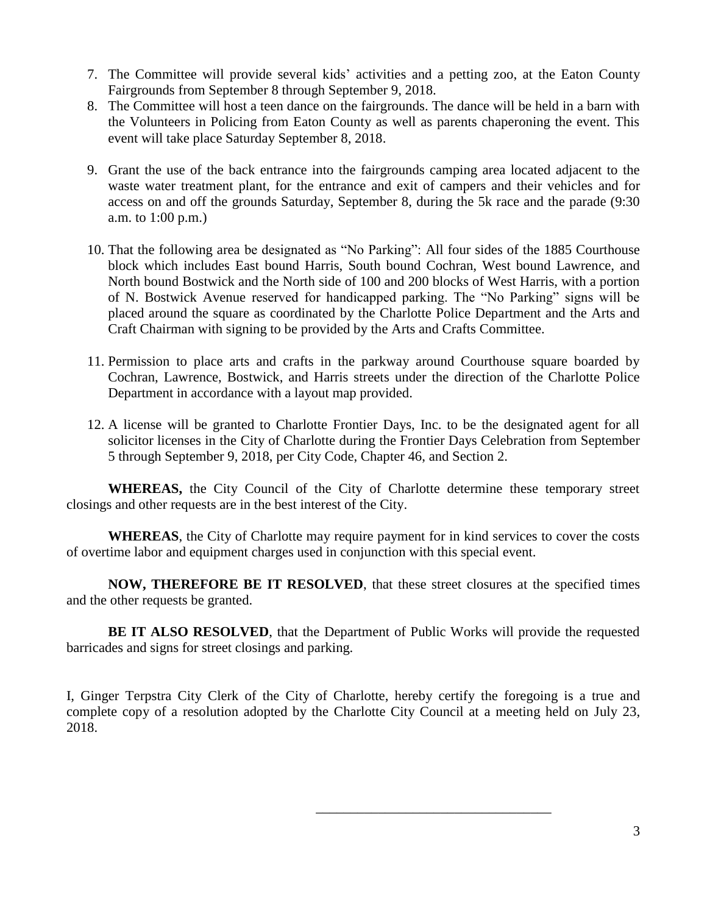- 7. The Committee will provide several kids' activities and a petting zoo, at the Eaton County Fairgrounds from September 8 through September 9, 2018.
- 8. The Committee will host a teen dance on the fairgrounds. The dance will be held in a barn with the Volunteers in Policing from Eaton County as well as parents chaperoning the event. This event will take place Saturday September 8, 2018.
- 9. Grant the use of the back entrance into the fairgrounds camping area located adjacent to the waste water treatment plant, for the entrance and exit of campers and their vehicles and for access on and off the grounds Saturday, September 8, during the 5k race and the parade (9:30 a.m. to 1:00 p.m.)
- 10. That the following area be designated as "No Parking": All four sides of the 1885 Courthouse block which includes East bound Harris, South bound Cochran, West bound Lawrence, and North bound Bostwick and the North side of 100 and 200 blocks of West Harris, with a portion of N. Bostwick Avenue reserved for handicapped parking. The "No Parking" signs will be placed around the square as coordinated by the Charlotte Police Department and the Arts and Craft Chairman with signing to be provided by the Arts and Crafts Committee.
- 11. Permission to place arts and crafts in the parkway around Courthouse square boarded by Cochran, Lawrence, Bostwick, and Harris streets under the direction of the Charlotte Police Department in accordance with a layout map provided.
- 12. A license will be granted to Charlotte Frontier Days, Inc. to be the designated agent for all solicitor licenses in the City of Charlotte during the Frontier Days Celebration from September 5 through September 9, 2018, per City Code, Chapter 46, and Section 2.

**WHEREAS,** the City Council of the City of Charlotte determine these temporary street closings and other requests are in the best interest of the City.

**WHEREAS**, the City of Charlotte may require payment for in kind services to cover the costs of overtime labor and equipment charges used in conjunction with this special event.

**NOW, THEREFORE BE IT RESOLVED**, that these street closures at the specified times and the other requests be granted.

**BE IT ALSO RESOLVED**, that the Department of Public Works will provide the requested barricades and signs for street closings and parking.

I, Ginger Terpstra City Clerk of the City of Charlotte, hereby certify the foregoing is a true and complete copy of a resolution adopted by the Charlotte City Council at a meeting held on July 23, 2018.

\_\_\_\_\_\_\_\_\_\_\_\_\_\_\_\_\_\_\_\_\_\_\_\_\_\_\_\_\_\_\_\_\_\_